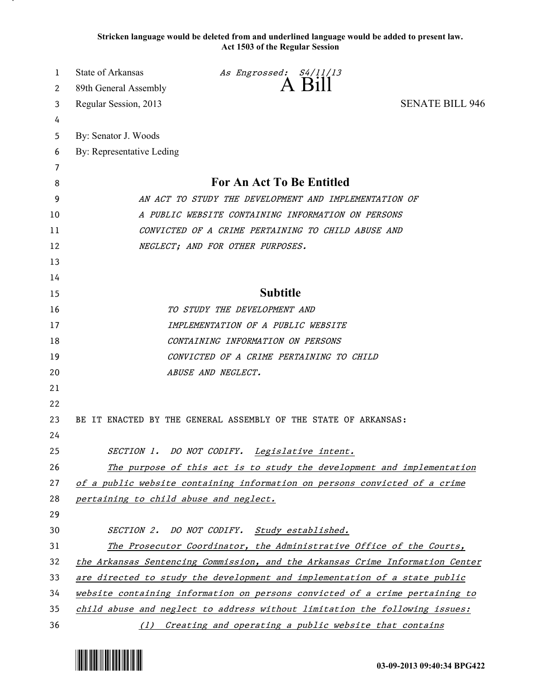**Stricken language would be deleted from and underlined language would be added to present law. Act 1503 of the Regular Session**

| 1      | State of Arkansas                                                             | As Engrossed: S4/11/13<br>A Bill                                |                        |
|--------|-------------------------------------------------------------------------------|-----------------------------------------------------------------|------------------------|
| 2      | 89th General Assembly                                                         |                                                                 |                        |
| 3      | Regular Session, 2013                                                         |                                                                 | <b>SENATE BILL 946</b> |
| 4      |                                                                               |                                                                 |                        |
| 5      | By: Senator J. Woods                                                          |                                                                 |                        |
| 6      | By: Representative Leding                                                     |                                                                 |                        |
| 7<br>8 | For An Act To Be Entitled                                                     |                                                                 |                        |
| 9      | AN ACT TO STUDY THE DEVELOPMENT AND IMPLEMENTATION OF                         |                                                                 |                        |
| 10     | A PUBLIC WEBSITE CONTAINING INFORMATION ON PERSONS                            |                                                                 |                        |
| 11     | CONVICTED OF A CRIME PERTAINING TO CHILD ABUSE AND                            |                                                                 |                        |
| 12     | NEGLECT; AND FOR OTHER PURPOSES.                                              |                                                                 |                        |
| 13     |                                                                               |                                                                 |                        |
| 14     |                                                                               |                                                                 |                        |
| 15     |                                                                               | <b>Subtitle</b>                                                 |                        |
| 16     | TO STUDY THE DEVELOPMENT AND                                                  |                                                                 |                        |
| 17     | IMPLEMENTATION OF A PUBLIC WEBSITE                                            |                                                                 |                        |
| 18     | CONTAINING INFORMATION ON PERSONS                                             |                                                                 |                        |
| 19     | CONVICTED OF A CRIME PERTAINING TO CHILD                                      |                                                                 |                        |
| 20     | ABUSE AND NEGLECT.                                                            |                                                                 |                        |
| 21     |                                                                               |                                                                 |                        |
| 22     |                                                                               |                                                                 |                        |
| 23     |                                                                               | BE IT ENACTED BY THE GENERAL ASSEMBLY OF THE STATE OF ARKANSAS: |                        |
| 24     |                                                                               |                                                                 |                        |
| 25     |                                                                               | SECTION 1. DO NOT CODIFY. Legislative intent.                   |                        |
| 26     | The purpose of this act is to study the development and implementation        |                                                                 |                        |
| 27     | of a public website containing information on persons convicted of a crime    |                                                                 |                        |
| 28     | pertaining to child abuse and neglect.                                        |                                                                 |                        |
| 29     |                                                                               |                                                                 |                        |
| 30     |                                                                               | SECTION 2. DO NOT CODIFY. Study established.                    |                        |
| 31     | The Prosecutor Coordinator, the Administrative Office of the Courts,          |                                                                 |                        |
| 32     | the Arkansas Sentencing Commission, and the Arkansas Crime Information Center |                                                                 |                        |
| 33     | are directed to study the development and implementation of a state public    |                                                                 |                        |
| 34     | website containing information on persons convicted of a crime pertaining to  |                                                                 |                        |
| 35     | child abuse and neglect to address without limitation the following issues:   |                                                                 |                        |
| 36     | (1) Creating and operating a public website that contains                     |                                                                 |                        |